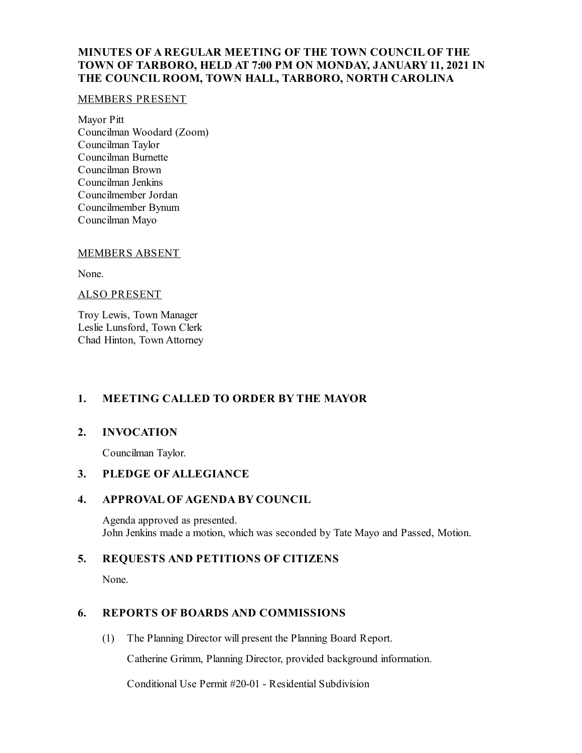# **MINUTES OF A REGULAR MEETING OF THE TOWN COUNCIL OF THE TOWN OF TARBORO, HELD AT 7:00 PM ON MONDAY, JANUARY11, 2021 IN THE COUNCIL ROOM, TOWN HALL, TARBORO, NORTH CAROLINA**

#### MEMBERS PRESENT

Mayor Pitt Councilman Woodard (Zoom) Councilman Taylor Councilman Burnette Councilman Brown Councilman Jenkins Councilmember Jordan Councilmember Bynum Councilman Mayo

## MEMBERS ABSENT

None.

### ALSO PRESENT

Troy Lewis, Town Manager Leslie Lunsford, Town Clerk Chad Hinton, Town Attorney

# **1. MEETING CALLED TO ORDER BY THE MAYOR**

## **2. INVOCATION**

Councilman Taylor.

## **3. PLEDGE OF ALLEGIANCE**

## **4. APPROVAL OF AGENDA BY COUNCIL**

Agenda approved as presented. John Jenkins made a motion, which was seconded by Tate Mayo and Passed, Motion.

## **5. REQUESTS AND PETITIONS OF CITIZENS**

None.

# **6. REPORTS OF BOARDS AND COMMISSIONS**

(1) The Planning Director will present the Planning Board Report.

Catherine Grimm, Planning Director, provided background information.

Conditional Use Permit #20-01 - Residential Subdivision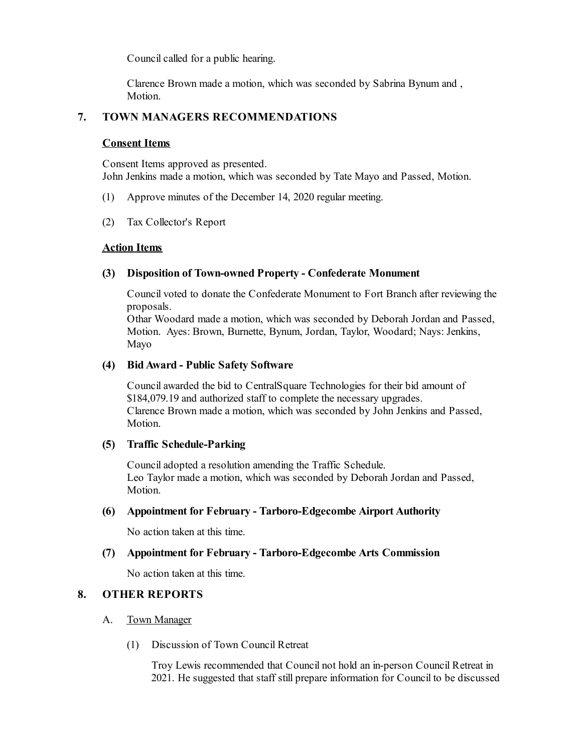Council called for a public hearing.

Clarence Brown made a motion, which was seconded by Sabrina Bynum and , Motion.

# **7. TOWN MANAGERS RECOMMENDATIONS**

### **Consent Items**

Consent Items approved as presented. John Jenkins made a motion, which was seconded by Tate Mayo and Passed, Motion.

- (1) Approve minutes of the December 14, 2020 regular meeting.
- (2) Tax Collector's Report

### **Action Items**

### **(3) Disposition of Town-owned Property - Confederate Monument**

Council voted to donate the Confederate Monument to Fort Branch after reviewing the proposals.

Othar Woodard made a motion, which was seconded by Deborah Jordan and Passed, Motion. Ayes: Brown, Burnette, Bynum, Jordan, Taylor, Woodard; Nays: Jenkins, Mayo

### **(4) BidAward - Public Safety Software**

Councilawarded the bid to CentralSquare Technologies for their bid amount of \$184,079.19 and authorized staff to complete the necessary upgrades. Clarence Brown made a motion, which was seconded by John Jenkins and Passed, Motion.

## **(5) Traffic Schedule-Parking**

Counciladopted a resolution amending the Traffic Schedule. Leo Taylor made a motion, which was seconded by Deborah Jordan and Passed, Motion.

#### **(6) Appointment for February - Tarboro-Edgecombe Airport Authority**

No action taken at this time.

## **(7) Appointment for February - Tarboro-Edgecombe Arts Commission**

No action taken at this time.

## **8. OTHER REPORTS**

#### A. Town Manager

(1) Discussion of Town Council Retreat

Troy Lewis recommended that Council not hold an in-person Council Retreat in 2021. He suggested that staff still prepare information for Council to be discussed